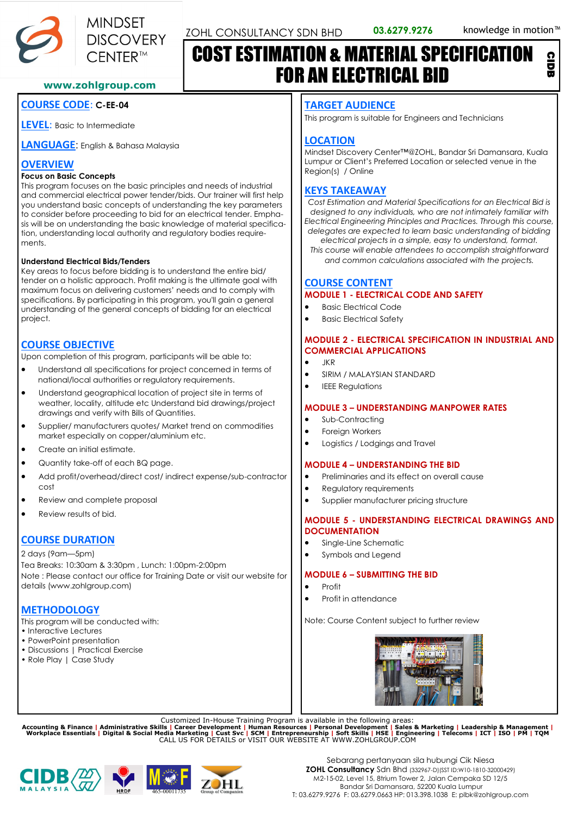CIDB



# COST ESTIMATION & MATERIAL SPECIFICATION FOR AN ELECTRICAL BID

#### **www.zohlgroup.com**

## **COURSE CODE**: **C-EE-04**

**LEVEL**: Basic to Intermediate

**LANGUAGE**: English & Bahasa Malaysia

## **OVERVIEW**

#### **Focus on Basic Concepts**

This program focuses on the basic principles and needs of industrial and commercial electrical power tender/bids. Our trainer will first help you understand basic concepts of understanding the key parameters to consider before proceeding to bid for an electrical tender. Emphasis will be on understanding the basic knowledge of material specification, understanding local authority and regulatory bodies requirements.

#### **Understand Electrical Bids/Tenders**

Key areas to focus before bidding is to understand the entire bid/ tender on a holistic approach. Profit making is the ultimate goal with maximum focus on delivering customers' needs and to comply with specifications. By participating in this program, you'll gain a general understanding of the general concepts of bidding for an electrical project.

## **COURSE OBJECTIVE**

Upon completion of this program, participants will be able to:

- Understand all specifications for project concerned in terms of national/local authorities or regulatory requirements.
- Understand geographical location of project site in terms of weather, locality, altitude etc Understand bid drawings/project drawings and verify with Bills of Quantities.
- Supplier/ manufacturers quotes/ Market trend on commodities market especially on copper/aluminium etc.
- Create an initial estimate.
- Quantity take-off of each BQ page.
- Add profit/overhead/direct cost/ indirect expense/sub-contractor cost
- Review and complete proposal
- Review results of bid.

## **COURSE DURATION**

2 days (9am—5pm)

Tea Breaks: 10:30am & 3:30pm , Lunch: 1:00pm-2:00pm Note : Please contact our office for Training Date or visit our website for details (www.zohlgroup.com)

## **METHODOLOGY**

This program will be conducted with:

- Interactive Lectures
- PowerPoint presentation
- Discussions | Practical Exercise
- Role Play | Case Study

#### **TARGET AUDIENCE**

This program is suitable for Engineers and Technicians

## **LOCATION**

Mindset Discovery Center™@ZOHL, Bandar Sri Damansara, Kuala Lumpur or Client's Preferred Location or selected venue in the Region(s) / Online

## **KEYS TAKEAWAY**

*Cost Estimation and Material Specifications for an Electrical Bid is designed to any individuals, who are not intimately familiar with Electrical Engineering Principles and Practices. Through this course, delegates are expected to learn basic understanding of bidding* 

*electrical projects in a simple, easy to understand, format. This course will enable attendees to accomplish straightforward and common calculations associated with the projects.*

## **COURSE CONTENT**

## **MODULE 1 - ELECTRICAL CODE AND SAFETY**

- Basic Electrical Code
- Basic Electrical Safety

#### **MODULE 2 - ELECTRICAL SPECIFICATION IN INDUSTRIAL AND COMMERCIAL APPLICATIONS**

- JKR
- SIRIM / MALAYSIAN STANDARD
- IEEE Regulations

#### **MODULE 3 – UNDERSTANDING MANPOWER RATES**

- Sub-Contracting
- Foreign Workers
- Logistics / Lodgings and Travel

#### **MODULE 4 – UNDERSTANDING THE BID**

- Preliminaries and its effect on overall cause
- Regulatory requirements
- Supplier manufacturer pricing structure

#### **MODULE 5 - UNDERSTANDING ELECTRICAL DRAWINGS AND DOCUMENTATION**

- Single-Line Schematic
- Symbols and Legend

#### **MODULE 6 – SUBMITTING THE BID**

- Profit
- Profit in attendance

Note: Course Content subject to further review



Customized In-House Training Program is available in the following areas:<br>Accounting & Finance | Administrative Skills | Career Development | Human Resources | Personal Development | Sales & Marketing | Leadership & Manage